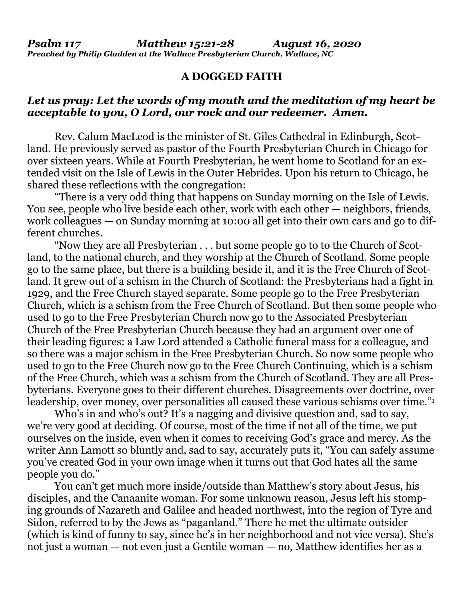## **A DOGGED FAITH**

## *Let us pray: Let the words of my mouth and the meditation of my heart be acceptable to you, O Lord, our rock and our redeemer. Amen.*

Rev. Calum MacLeod is the minister of St. Giles Cathedral in Edinburgh, Scotland. He previously served as pastor of the Fourth Presbyterian Church in Chicago for over sixteen years. While at Fourth Presbyterian, he went home to Scotland for an extended visit on the Isle of Lewis in the Outer Hebrides. Upon his return to Chicago, he shared these reflections with the congregation:

"There is a very odd thing that happens on Sunday morning on the Isle of Lewis. You see, people who live beside each other, work with each other — neighbors, friends, work colleagues — on Sunday morning at 10:00 all get into their own cars and go to different churches.

"Now they are all Presbyterian . . . but some people go to to the Church of Scotland, to the national church, and they worship at the Church of Scotland. Some people go to the same place, but there is a building beside it, and it is the Free Church of Scotland. It grew out of a schism in the Church of Scotland: the Presbyterians had a fight in 1929, and the Free Church stayed separate. Some people go to the Free Presbyterian Church, which is a schism from the Free Church of Scotland. But then some people who used to go to the Free Presbyterian Church now go to the Associated Presbyterian Church of the Free Presbyterian Church because they had an argument over one of their leading figures: a Law Lord attended a Catholic funeral mass for a colleague, and so there was a major schism in the Free Presbyterian Church. So now some people who used to go to the Free Church now go to the Free Church Continuing, which is a schism of the Free Church, which was a schism from the Church of Scotland. They are all Presbyterians. Everyone goes to their different churches. Disagreements over doctrine, over leadership, over money, over personalities all caused these various schisms over time."<sup>1</sup>

Who's in and who's out? It's a nagging and divisive question and, sad to say, we're very good at deciding. Of course, most of the time if not all of the time, we put ourselves on the inside, even when it comes to receiving God's grace and mercy. As the writer Ann Lamott so bluntly and, sad to say, accurately puts it, "You can safely assume you've created God in your own image when it turns out that God hates all the same people you do."

You can't get much more inside/outside than Matthew's story about Jesus, his disciples, and the Canaanite woman. For some unknown reason, Jesus left his stomping grounds of Nazareth and Galilee and headed northwest, into the region of Tyre and Sidon, referred to by the Jews as "paganland." There he met the ultimate outsider (which is kind of funny to say, since he's in her neighborhood and not vice versa). She's not just a woman — not even just a Gentile woman — no, Matthew identifies her as a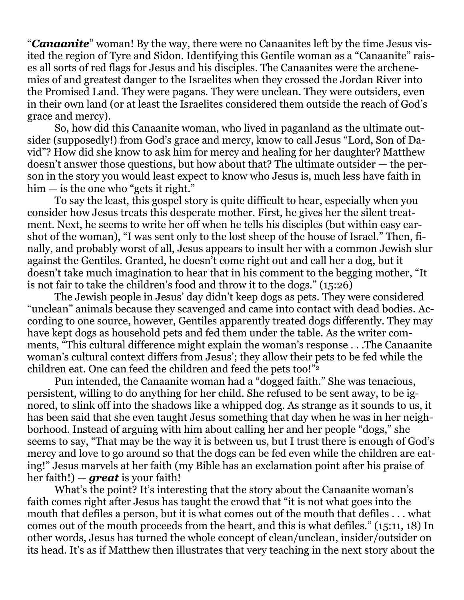"*Canaanite*" woman! By the way, there were no Canaanites left by the time Jesus visited the region of Tyre and Sidon. Identifying this Gentile woman as a "Canaanite" raises all sorts of red flags for Jesus and his disciples. The Canaanites were the archenemies of and greatest danger to the Israelites when they crossed the Jordan River into the Promised Land. They were pagans. They were unclean. They were outsiders, even in their own land (or at least the Israelites considered them outside the reach of God's grace and mercy).

So, how did this Canaanite woman, who lived in paganland as the ultimate outsider (supposedly!) from God's grace and mercy, know to call Jesus "Lord, Son of David"? How did she know to ask him for mercy and healing for her daughter? Matthew doesn't answer those questions, but how about that? The ultimate outsider — the person in the story you would least expect to know who Jesus is, much less have faith in  $him - is the one who "gets it right."$ 

To say the least, this gospel story is quite difficult to hear, especially when you consider how Jesus treats this desperate mother. First, he gives her the silent treatment. Next, he seems to write her off when he tells his disciples (but within easy earshot of the woman), "I was sent only to the lost sheep of the house of Israel." Then, finally, and probably worst of all, Jesus appears to insult her with a common Jewish slur against the Gentiles. Granted, he doesn't come right out and call her a dog, but it doesn't take much imagination to hear that in his comment to the begging mother, "It is not fair to take the children's food and throw it to the dogs." (15:26)

The Jewish people in Jesus' day didn't keep dogs as pets. They were considered "unclean" animals because they scavenged and came into contact with dead bodies. According to one source, however, Gentiles apparently treated dogs differently. They may have kept dogs as household pets and fed them under the table. As the writer comments, "This cultural difference might explain the woman's response . . .The Canaanite woman's cultural context differs from Jesus'; they allow their pets to be fed while the children eat. One can feed the children and feed the pets too!"2

Pun intended, the Canaanite woman had a "dogged faith." She was tenacious, persistent, willing to do anything for her child. She refused to be sent away, to be ignored, to slink off into the shadows like a whipped dog. As strange as it sounds to us, it has been said that she even taught Jesus something that day when he was in her neighborhood. Instead of arguing with him about calling her and her people "dogs," she seems to say, "That may be the way it is between us, but I trust there is enough of God's mercy and love to go around so that the dogs can be fed even while the children are eating!" Jesus marvels at her faith (my Bible has an exclamation point after his praise of her faith!) — *great* is your faith!

What's the point? It's interesting that the story about the Canaanite woman's faith comes right after Jesus has taught the crowd that "it is not what goes into the mouth that defiles a person, but it is what comes out of the mouth that defiles . . . what comes out of the mouth proceeds from the heart, and this is what defiles." (15:11, 18) In other words, Jesus has turned the whole concept of clean/unclean, insider/outsider on its head. It's as if Matthew then illustrates that very teaching in the next story about the